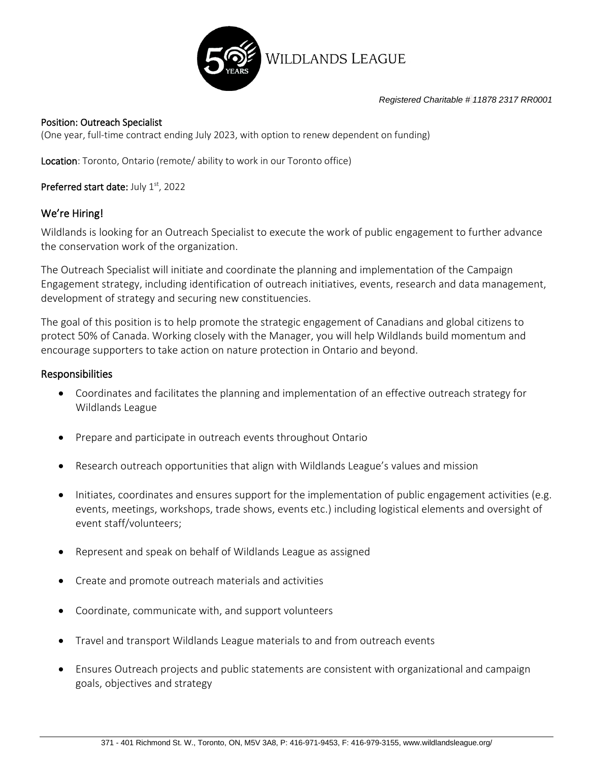

*Registered Charitable # 11878 2317 RR0001*

#### Position: Outreach Specialist

(One year, full-time contract ending July 2023, with option to renew dependent on funding)

Location: Toronto, Ontario (remote/ ability to work in our Toronto office)

Preferred start date: July 1st, 2022

### We're Hiring!

Wildlands is looking for an Outreach Specialist to execute the work of public engagement to further advance the conservation work of the organization.

The Outreach Specialist will initiate and coordinate the planning and implementation of the Campaign Engagement strategy, including identification of outreach initiatives, events, research and data management, development of strategy and securing new constituencies.

The goal of this position is to help promote the strategic engagement of Canadians and global citizens to protect 50% of Canada. Working closely with the Manager, you will help Wildlands build momentum and encourage supporters to take action on nature protection in Ontario and beyond.

#### Responsibilities

- Coordinates and facilitates the planning and implementation of an effective outreach strategy for Wildlands League
- Prepare and participate in outreach events throughout Ontario
- Research outreach opportunities that align with Wildlands League's values and mission
- Initiates, coordinates and ensures support for the implementation of public engagement activities (e.g. events, meetings, workshops, trade shows, events etc.) including logistical elements and oversight of event staff/volunteers;
- Represent and speak on behalf of Wildlands League as assigned
- Create and promote outreach materials and activities
- Coordinate, communicate with, and support volunteers
- Travel and transport Wildlands League materials to and from outreach events
- Ensures Outreach projects and public statements are consistent with organizational and campaign goals, objectives and strategy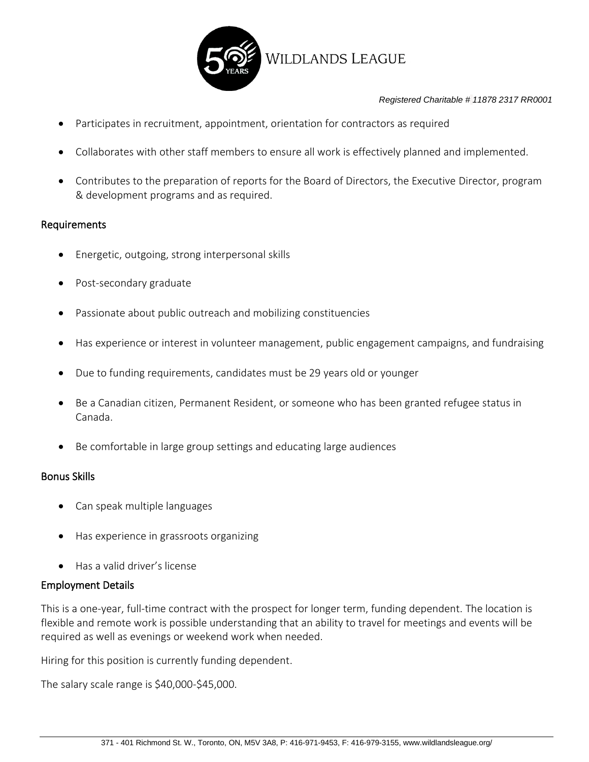

#### *Registered Charitable # 11878 2317 RR0001*

- Participates in recruitment, appointment, orientation for contractors as required
- Collaborates with other staff members to ensure all work is effectively planned and implemented.
- Contributes to the preparation of reports for the Board of Directors, the Executive Director, program & development programs and as required.

#### Requirements

- Energetic, outgoing, strong interpersonal skills
- Post-secondary graduate
- Passionate about public outreach and mobilizing constituencies
- Has experience or interest in volunteer management, public engagement campaigns, and fundraising
- Due to funding requirements, candidates must be 29 years old or younger
- Be a Canadian citizen, Permanent Resident, or someone who has been granted refugee status in Canada.
- Be comfortable in large group settings and educating large audiences

#### Bonus Skills

- Can speak multiple languages
- Has experience in grassroots organizing
- Has a valid driver's license

#### Employment Details

This is a one-year, full-time contract with the prospect for longer term, funding dependent. The location is flexible and remote work is possible understanding that an ability to travel for meetings and events will be required as well as evenings or weekend work when needed.

Hiring for this position is currently funding dependent.

The salary scale range is \$40,000-\$45,000.